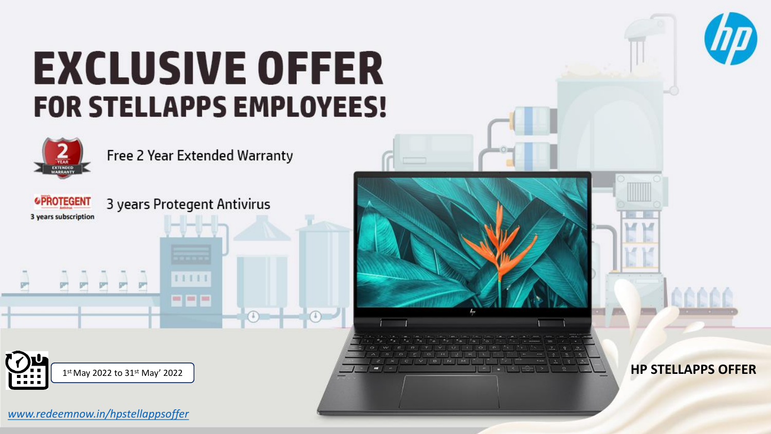### **EXCLUSIVE OFFER FOR STELLAPPS EMPLOYEES!**



Free 2 Year Extended Warranty



3 years Protegent Antivirus

 $11111$ 

**CHE CHE THE** 

**HP STELLAPPS OFFER** 

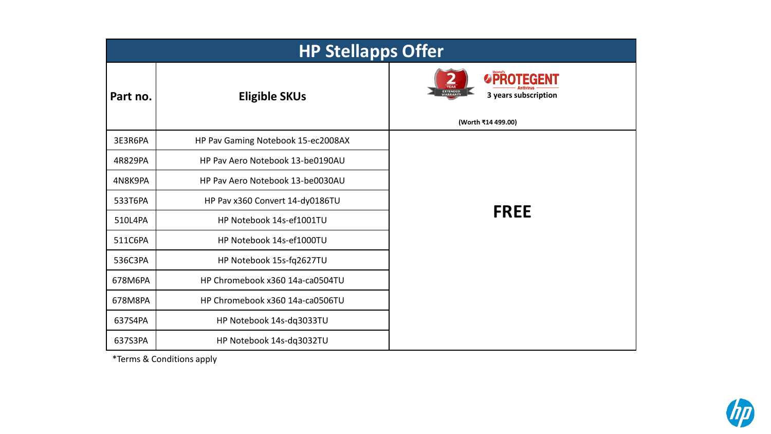| <b>HP Stellapps Offer</b> |                                    |                                                                                                        |
|---------------------------|------------------------------------|--------------------------------------------------------------------------------------------------------|
| Part no.                  | <b>Eligible SKUs</b>               | <b>OPROTEGENT</b><br><b>YEAR</b><br>EXTENDED<br>WARRANTY<br>3 years subscription<br>(Worth ₹14 499.00) |
| 3E3R6PA                   | HP Pav Gaming Notebook 15-ec2008AX |                                                                                                        |
| 4R829PA                   | HP Pav Aero Notebook 13-be0190AU   |                                                                                                        |
| 4N8K9PA                   | HP Pav Aero Notebook 13-be0030AU   |                                                                                                        |
| 533T6PA                   | HP Pav x360 Convert 14-dy0186TU    |                                                                                                        |
| 510L4PA                   | HP Notebook 14s-ef1001TU           | <b>FREE</b>                                                                                            |
| 511C6PA                   | HP Notebook 14s-ef1000TU           |                                                                                                        |
| 536C3PA                   | HP Notebook 15s-fq2627TU           |                                                                                                        |
| 678M6PA                   | HP Chromebook x360 14a-ca0504TU    |                                                                                                        |
| 678M8PA                   | HP Chromebook x360 14a-ca0506TU    |                                                                                                        |
| 637S4PA                   | HP Notebook 14s-dq3033TU           |                                                                                                        |
| 637S3PA                   | HP Notebook 14s-dq3032TU           |                                                                                                        |

\*Terms & Conditions apply

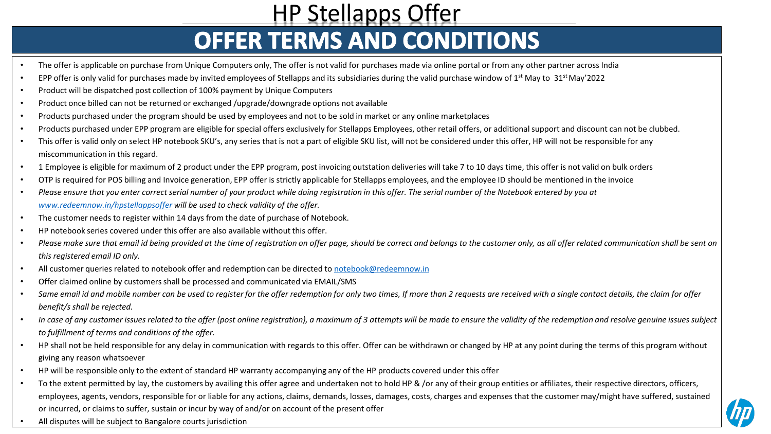# HP Stellapps Offer<br> **OFFER TERMS AND CONDITIONS**

- The offer is applicable on purchase from Unique Computers only, The offer is not valid for purchases made via online portal or from any other partner across India
- EPP offer is only valid for purchases made by invited employees of Stellapps and its subsidiaries during the valid purchase window of  $1<sup>st</sup>$  May to  $31<sup>st</sup>$  May'2022
- Product will be dispatched post collection of 100% payment by Unique Computers
- Product once billed can not be returned or exchanged /upgrade/downgrade options not available
- Products purchased under the program should be used by employees and not to be sold in market or any online marketplaces
- Products purchased under EPP program are eligible for special offers exclusively for Stellapps Employees, other retail offers, or additional support and discount can not be clubbed.
- This offer is valid only on select HP notebook SKU's, any series that is not a part of eligible SKU list, will not be considered under this offer, HP will not be responsible for any miscommunication in this regard.
- 1 Employee is eligible for maximum of 2 product under the EPP program, post invoicing outstation deliveries will take 7 to 10 days time, this offer is not valid on bulk orders
- OTP is required for POS billing and Invoice generation, EPP offer is strictly applicable for Stellapps employees, and the employee ID should be mentioned in the invoice
- *Please ensure that you enter correct serial number of your product while doing registration in this offer. The serial number of the Notebook entered by you at [www.redeemnow.in/hpstellappsoffer](http://www.redeemnow.in/hpstellappsoffer) will be used to check validity of the offer.*
- The customer needs to register within 14 days from the date of purchase of Notebook.
- HP notebook series covered under this offer are also available without this offer.
- Please make sure that email id being provided at the time of registration on offer page, should be correct and belongs to the customer only, as all offer related communication shall be sent on *this registered email ID only.*
- All customer queries related to notebook offer and redemption can be directed to [notebook@redeemnow.in](mailto:notebook@redeemnow.in)
- Offer claimed online by customers shall be processed and communicated via EMAIL/SMS
- *Same email id and mobile number can be used to register for the offer redemption for only two times, If more than 2 requests are received with a single contact details, the claim for offer benefit/s shall be rejected.*
- *In case of any customer issues related to the offer (post online registration), a maximum of 3 attempts will be made to ensure the validity of the redemption and resolve genuine issues subject to fulfillment of terms and conditions of the offer.*
- HP shall not be held responsible for any delay in communication with regards to this offer. Offer can be withdrawn or changed by HP at any point during the terms of this program without giving any reason whatsoever
- HP will be responsible only to the extent of standard HP warranty accompanying any of the HP products covered under this offer
- To the extent permitted by lay, the customers by availing this offer agree and undertaken not to hold HP & /or any of their group entities or affiliates, their respective directors, officers, employees, agents, vendors, responsible for or liable for any actions, claims, demands, losses, damages, costs, charges and expenses that the customer may/might have suffered, sustained or incurred, or claims to suffer, sustain or incur by way of and/or on account of the present offer
- All disputes will be subject to Bangalore courts jurisdiction

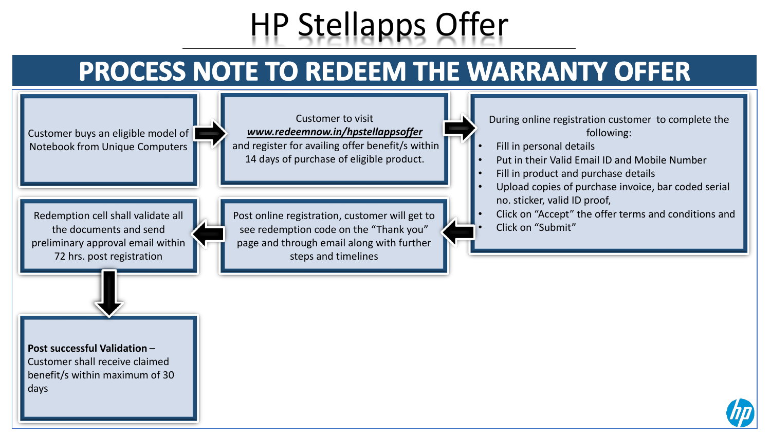### HP Stellapps Offer

#### PROCESS NOTE TO REDEEM THE WARRANTY OFFER

Customer buys an eligible model of Notebook from Unique Computers

Customer to visit *[www.redeemnow.in/hpstellappsoffer](http://www.redeemnow.in/hppunjabgovtoffer)* and register for availing offer benefit/s within 14 days of purchase of eligible product.

Redemption cell shall validate all the documents and send preliminary approval email within 72 hrs. post registration

Post online registration, customer will get to see redemption code on the "Thank you" page and through email along with further steps and timelines

During online registration customer to complete the following:

- Fill in personal details
- Put in their Valid Email ID and Mobile Number
- Fill in product and purchase details
- Upload copies of purchase invoice, bar coded serial no. sticker, valid ID proof,
- Click on "Accept" the offer terms and conditions and • Click on "Submit"

**Post successful Validation** – Customer shall receive claimed benefit/s within maximum of 30 days

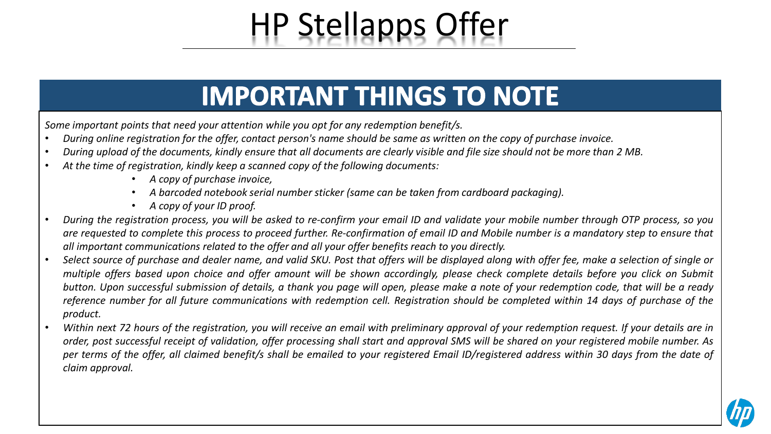## HP Stellapps Offer

#### **IMPORTANT THINGS TO NOTE**

*Some important points that need your attention while you opt for any redemption benefit/s.*

- During online registration for the offer, contact person's name should be same as written on the copy of purchase invoice.
- During upload of the documents, kindly ensure that all documents are clearly visible and file size should not be more than 2 MB.
- *At the time of registration, kindly keep a scanned copy of the following documents:*
	- *A copy of purchase invoice,*
	- *A barcoded notebook serial number sticker (same can be taken from cardboard packaging).*
	- *A copy of your ID proof.*
- During the registration process, you will be asked to re-confirm your email ID and validate your mobile number through OTP process, so you are requested to complete this process to proceed further. Re-confirmation of email ID and Mobile number is a mandatory step to ensure that *all important communications related to the offer and all your offer benefits reach to you directly.*
- Select source of purchase and dealer name, and valid SKU. Post that offers will be displayed along with offer fee, make a selection of single or multiple offers based upon choice and offer amount will be shown accordingly, please check complete details before you click on Submit button. Upon successful submission of details, a thank you page will open, please make a note of your redemption code, that will be a ready reference number for all future communications with redemption cell. Registration should be completed within 14 days of purchase of the *product.*
- Within next 72 hours of the registration, you will receive an email with preliminary approval of your redemption request. If your details are in order, post successful receipt of validation, offer processing shall start and approval SMS will be shared on your registered mobile number. As per terms of the offer, all claimed benefit/s shall be emailed to your registered Email ID/registered address within 30 days from the date of *claim approval.*